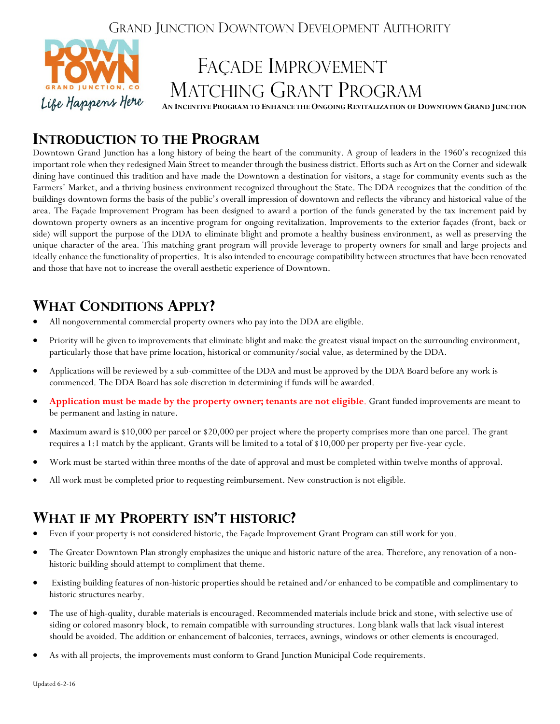### GRAND JUNCTION DOWNTOWN DEVELOPMENT AUTHORITY



### **INTRODUCTION TO THE PROGRAM**

Downtown Grand Junction has a long history of being the heart of the community. A group of leaders in the 1960's recognized this important role when they redesigned Main Street to meander through the business district. Efforts such as Art on the Corner and sidewalk dining have continued this tradition and have made the Downtown a destination for visitors, a stage for community events such as the Farmers' Market, and a thriving business environment recognized throughout the State. The DDA recognizes that the condition of the buildings downtown forms the basis of the public's overall impression of downtown and reflects the vibrancy and historical value of the area. The Façade Improvement Program has been designed to award a portion of the funds generated by the tax increment paid by downtown property owners as an incentive program for ongoing revitalization. Improvements to the exterior façades (front, back or side) will support the purpose of the DDA to eliminate blight and promote a healthy business environment, as well as preserving the unique character of the area. This matching grant program will provide leverage to property owners for small and large projects and ideally enhance the functionality of properties. It is also intended to encourage compatibility between structures that have been renovated and those that have not to increase the overall aesthetic experience of Downtown.

# **WHAT CONDITIONS APPLY?**

- All nongovernmental commercial property owners who pay into the DDA are eligible.
- Priority will be given to improvements that eliminate blight and make the greatest visual impact on the surrounding environment, particularly those that have prime location, historical or community/social value, as determined by the DDA.
- Applications will be reviewed by a sub-committee of the DDA and must be approved by the DDA Board before any work is commenced. The DDA Board has sole discretion in determining if funds will be awarded.
- **Application must be made by the property owner; tenants are not eligible**. Grant funded improvements are meant to be permanent and lasting in nature.
- Maximum award is \$10,000 per parcel or \$20,000 per project where the property comprises more than one parcel. The grant requires a 1:1 match by the applicant. Grants will be limited to a total of \$10,000 per property per five-year cycle.
- Work must be started within three months of the date of approval and must be completed within twelve months of approval.
- All work must be completed prior to requesting reimbursement. New construction is not eligible.

### **WHAT IF MY PROPERTY ISN'T HISTORIC?**

- Even if your property is not considered historic, the Façade Improvement Grant Program can still work for you.
- The Greater Downtown Plan strongly emphasizes the unique and historic nature of the area. Therefore, any renovation of a nonhistoric building should attempt to compliment that theme.
- Existing building features of non-historic properties should be retained and/or enhanced to be compatible and complimentary to historic structures nearby.
- The use of high-quality, durable materials is encouraged. Recommended materials include brick and stone, with selective use of siding or colored masonry block, to remain compatible with surrounding structures. Long blank walls that lack visual interest should be avoided. The addition or enhancement of balconies, terraces, awnings, windows or other elements is encouraged.
- As with all projects, the improvements must conform to Grand Junction Municipal Code requirements.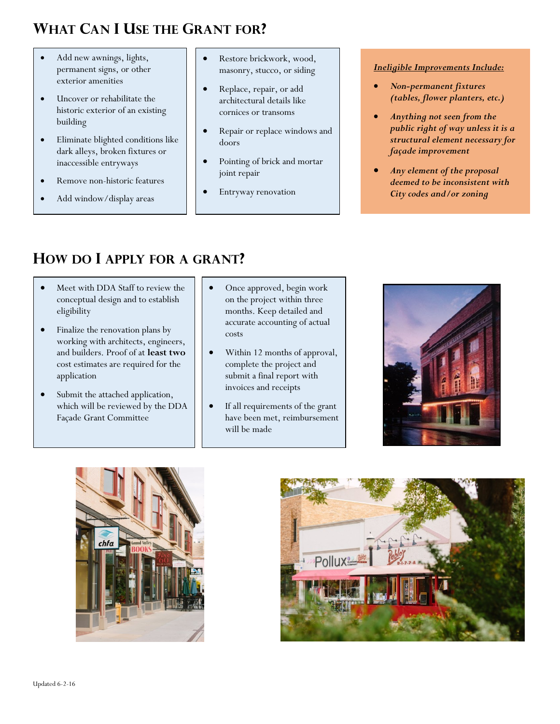# **WHAT CAN I USE THE GRANT FOR?**

- Add new awnings, lights, permanent signs, or other exterior amenities
- Uncover or rehabilitate the historic exterior of an existing building
- Eliminate blighted conditions like dark alleys, broken fixtures or inaccessible entryways
- Remove non-historic features
- Add window/display areas
- Restore brickwork, wood, masonry, stucco, or siding
- Replace, repair, or add architectural details like cornices or transoms
- Repair or replace windows and doors
- Pointing of brick and mortar joint repair
- Entryway renovation

#### *Ineligible Improvements Include:*

- *Non-permanent fixtures (tables, flower planters, etc.)*
- *Anything not seen from the public right of way unless it is a structural element necessary for façade improvement*
- *Any element of the proposal deemed to be inconsistent with City codes and/or zoning*

# **HOW DO I APPLY FOR A GRANT?**

- Meet with DDA Staff to review the conceptual design and to establish eligibility
- Finalize the renovation plans by working with architects, engineers, and builders. Proof of at **least two** cost estimates are required for the application
- Submit the attached application, which will be reviewed by the DDA Façade Grant Committee
- Once approved, begin work on the project within three months. Keep detailed and accurate accounting of actual costs
- Within 12 months of approval, complete the project and submit a final report with invoices and receipts
- If all requirements of the grant have been met, reimbursement will be made





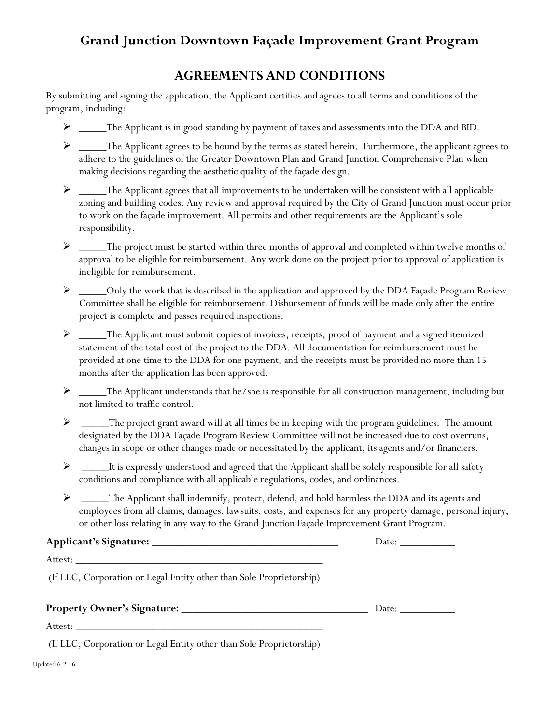### **Grand Junction Downtown Façade Improvement Grant Program**

### **AGREEMENTS AND CONDITIONS**

By submitting and signing the application, the Applicant certifies and agrees to all terms and conditions of the program, including:

- > \_\_\_\_The Applicant is in good standing by payment of taxes and assessments into the DDA and BID.
- > \_\_\_\_\_The Applicant agrees to be bound by the terms as stated herein. Furthermore, the applicant agrees to adhere to the guidelines of the Greater Downtown Plan and Grand Junction Comprehensive Plan when making decisions regarding the aesthetic quality of the façade design.
- $\triangleright$  \_\_\_\_\_The Applicant agrees that all improvements to be undertaken will be consistent with all applicable zoning and building codes. Any review and approval required by the City of Grand Junction must occur prior to work on the façade improvement. All permits and other requirements are the Applicant's sole responsibility.
- $\triangleright$  \_\_\_\_\_The project must be started within three months of approval and completed within twelve months of approval to be eligible for reimbursement. Any work done on the project prior to approval of application is ineligible for reimbursement.
- ▶ \_\_\_\_\_Only the work that is described in the application and approved by the DDA Façade Program Review Committee shall be eligible for reimbursement. Disbursement of funds will be made only after the entire project is complete and passes required inspections.
- $\triangleright$  \_\_\_\_\_The Applicant must submit copies of invoices, receipts, proof of payment and a signed itemized statement of the total cost of the project to the DDA. All documentation for reimbursement must be provided at one time to the DDA for one payment, and the receipts must be provided no more than 15 months after the application has been approved.
- > \_\_\_\_\_The Applicant understands that he/she is responsible for all construction management, including but not limited to traffic control.
- $\triangleright$  \_\_\_\_\_The project grant award will at all times be in keeping with the program guidelines. The amount designated by the DDA Façade Program Review Committee will not be increased due to cost overruns, changes in scope or other changes made or necessitated by the applicant, its agents and/or financiers.
- $\triangleright$  \_\_\_\_\_\_It is expressly understood and agreed that the Applicant shall be solely responsible for all safety conditions and compliance with all applicable regulations, codes, and ordinances.
- $\triangleright$  \_\_\_\_\_The Applicant shall indemnify, protect, defend, and hold harmless the DDA and its agents and employees from all claims, damages, lawsuits, costs, and expenses for any property damage, personal injury, or other loss relating in any way to the Grand Junction Façade Improvement Grant Program.

**Applicant's Signature:** \_\_\_\_\_\_\_\_\_\_\_\_\_\_\_\_\_\_\_\_\_\_\_\_\_\_\_\_\_\_\_\_\_\_ Date: \_\_\_\_\_\_\_\_\_\_

| л.<br>ハンシャ |  |
|------------|--|
|            |  |

(If LLC, Corporation or Legal Entity other than Sole Proprietorship)

|                                                                      | Date: |
|----------------------------------------------------------------------|-------|
|                                                                      |       |
| (If LLC, Corporation or Legal Entity other than Sole Proprietorship) |       |
| Updated 6-2-16                                                       |       |